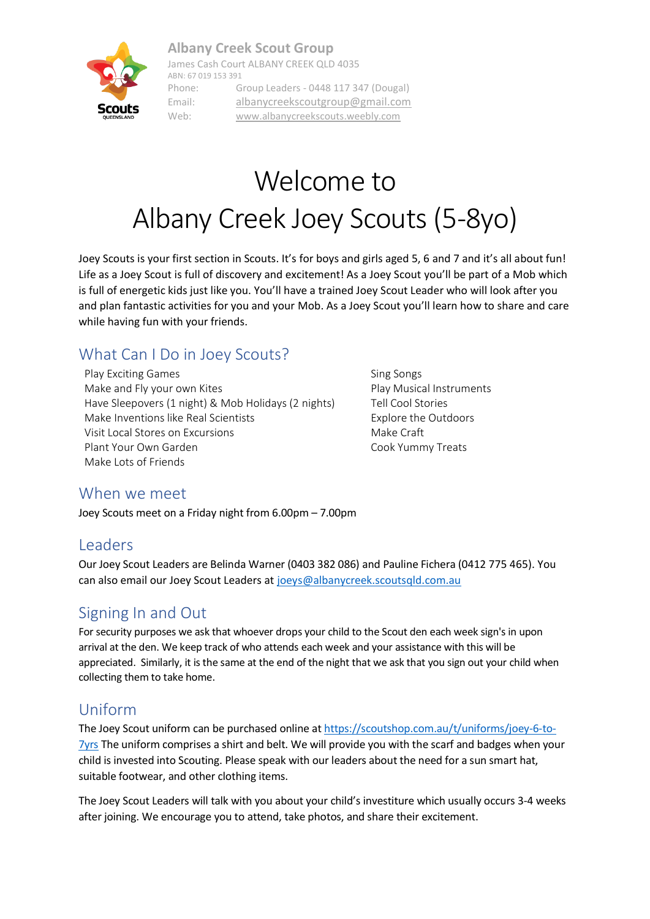#### **Albany Creek Scout Group**



James Cash Court ALBANY CREEK QLD 4035 ABN: 67 019 153 391 Phone: Group Leaders - 0448 117 347 (Dougal) Email: [albanycreekscoutgroup@gmail.com](mailto:albanycreekscoutgroup@gmail.com) Web: [www.albanycreekscouts.weebly.com](http://www.albanycreekscouts.weebly.com/)

# Welcome to Albany Creek Joey Scouts (5-8yo)

Joey Scouts is your first section in Scouts. It's for boys and girls aged 5, 6 and 7 and it's all about fun! Life as a Joey Scout is full of discovery and excitement! As a Joey Scout you'll be part of a Mob which is full of energetic kids just like you. You'll have a trained Joey Scout Leader who will look after you and plan fantastic activities for you and your Mob. As a Joey Scout you'll learn how to share and care while having fun with your friends.

## What Can I Do in Joey Scouts?

Play Exciting Games **Sing Songs** Sing Songs Make and Fly your own Kites **Play Musical Instruments** Play Musical Instruments Have Sleepovers (1 night) & Mob Holidays (2 nights) Tell Cool Stories Make Inventions like Real Scientists **Explore the Outdoors** Explore the Outdoors Visit Local Stores on Excursions Make Craft Plant Your Own Garden Cook Yummy Treats Make Lots of Friends

#### When we meet

Joey Scouts meet on a Friday night from 6.00pm – 7.00pm

#### Leaders

Our Joey Scout Leaders are Belinda Warner (0403 382 086) and Pauline Fichera (0412 775 465). You can also email our Joey Scout Leaders at [joeys@albanycreek.scoutsqld.com.au](mailto:joeys@albanycreek.scoutsqld.com.au)

#### Signing In and Out

For security purposes we ask that whoever drops your child to the Scout den each week sign's in upon arrival at the den. We keep track of who attends each week and your assistance with this will be appreciated. Similarly, it is the same at the end of the night that we ask that you sign out your child when collecting them to take home.

#### Uniform

The Joey Scout uniform can be purchased online at [https://scoutshop.com.au/t/uniforms/joey-6-to-](https://scoutshop.com.au/t/uniforms/joey-6-to-7yrs) $7yrs$  The uniform comprises a shirt and belt. We will provide you with the scarf and badges when your child is invested into Scouting. Please speak with our leaders about the need for a sun smart hat, suitable footwear, and other clothing items.

The Joey Scout Leaders will talk with you about your child's investiture which usually occurs 3-4 weeks after joining. We encourage you to attend, take photos, and share their excitement.